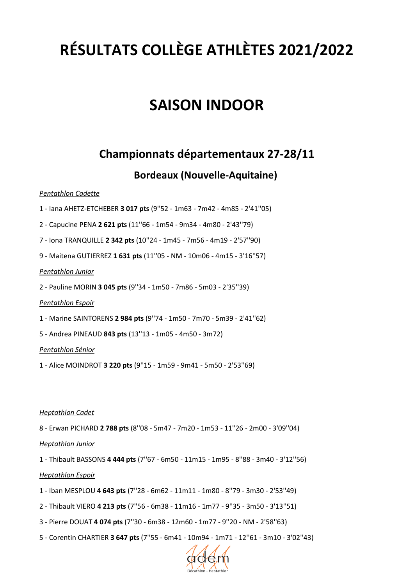# **RÉSULTATS COLLÈGE ATHLÈTES 2021/2022**

# **SAISON INDOOR**

# **Championnats départementaux 27-28/11**

### **Bordeaux (Nouvelle-Aquitaine)**

### *Pentathlon Cadette*

- 1 Iana AHETZ-ETCHEBER **3 017 pts** (9''52 1m63 7m42 4m85 2'41''05)
- 2 Capucine PENA **2 621 pts** (11''66 1m54 9m34 4m80 2'43''79)
- 7 Iona TRANQUILLE **2 342 pts** (10''24 1m45 7m56 4m19 2'57''90)
- 9 Maitena GUTIERREZ **1 631 pts** (11''05 NM 10m06 4m15 3'16''57)

### *Pentathlon Junior*

2 - Pauline MORIN **3 045 pts** (9''34 - 1m50 - 7m86 - 5m03 - 2'35''39)

### *Pentathlon Espoir*

- 1 Marine SAINTORENS **2 984 pts** (9''74 1m50 7m70 5m39 2'41''62)
- 5 Andrea PINEAUD **843 pts** (13''13 1m05 4m50 3m72)

### *Pentathlon Sénior*

1 - Alice MOINDROT **3 220 pts** (9''15 - 1m59 - 9m41 - 5m50 - 2'53''69)

### *Heptathlon Cadet*

8 - Erwan PICHARD **2 788 pts** (8''08 - 5m47 - 7m20 - 1m53 - 11''26 - 2m00 - 3'09''04)

### *Heptathlon Junior*

1 - Thibault BASSONS **4 444 pts** (7''67 - 6m50 - 11m15 - 1m95 - 8''88 - 3m40 - 3'12''56)

### *Heptathlon Espoir*

- 1 Iban MESPLOU **4 643 pts** (7''28 6m62 11m11 1m80 8''79 3m30 2'53''49)
- 2 Thibault VIERO **4 213 pts** (7''56 6m38 11m16 1m77 9''35 3m50 3'13''51)
- 3 Pierre DOUAT **4 074 pts** (7''30 6m38 12m60 1m77 9''20 NM 2'58''63)
- 5 Corentin CHARTIER **3 647 pts** (7''55 6m41 10m94 1m71 12''61 3m10 3'02''43)

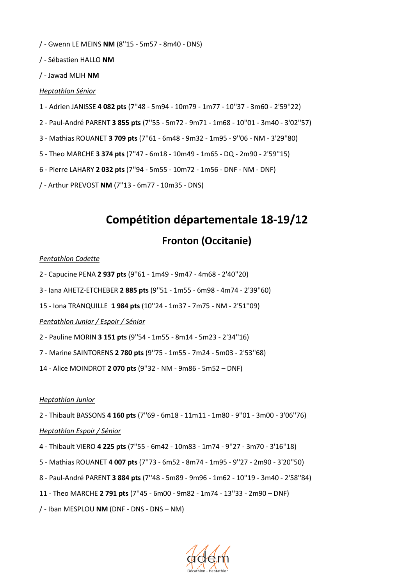/ - Gwenn LE MEINS **NM** (8''15 - 5m57 - 8m40 - DNS)

/ - Sébastien HALLO **NM**

/ - Jawad MLIH **NM**

#### *Heptathlon Sénior*

- 1 Adrien JANISSE **4 082 pts** (7''48 5m94 10m79 1m77 10''37 3m60 2'59''22)
- 2 Paul-André PARENT **3 855 pts** (7''55 5m72 9m71 1m68 10''01 3m40 3'02''57)
- 3 Mathias ROUANET **3 709 pts** (7''61 6m48 9m32 1m95 9''06 NM 3'29''80)
- 5 Theo MARCHE **3 374 pts** (7''47 6m18 10m49 1m65 DQ 2m90 2'59''15)
- 6 Pierre LAHARY **2 032 pts** (7''94 5m55 10m72 1m56 DNF NM DNF)

/ - Arthur PREVOST **NM** (7''13 - 6m77 - 10m35 - DNS)

# **Compétition départementale 18-19/12**

### **Fronton (Occitanie)**

#### *Pentathlon Cadette*

- 2 Capucine PENA **2 937 pts** (9''61 1m49 9m47 4m68 2'40''20)
- 3 Iana AHETZ-ETCHEBER **2 885 pts** (9''51 1m55 6m98 4m74 2'39''60)
- 15 Iona TRANQUILLE **1 984 pts** (10''24 1m37 7m75 NM 2'51''09)

#### *Pentathlon Junior / Espoir / Sénior*

- 2 Pauline MORIN **3 151 pts** (9''54 1m55 8m14 5m23 2'34''16)
- 7 Marine SAINTORENS **2 780 pts** (9''75 1m55 7m24 5m03 2'53''68)
- 14 Alice MOINDROT **2 070 pts** (9''32 NM 9m86 5m52 DNF)

#### *Heptathlon Junior*

- 2 Thibault BASSONS **4 160 pts** (7''69 6m18 11m11 1m80 9''01 3m00 3'06''76) *Heptathlon Espoir / Sénior*
- 4 Thibault VIERO **4 225 pts** (7''55 6m42 10m83 1m74 9''27 3m70 3'16''18)
- 5 Mathias ROUANET **4 007 pts** (7''73 6m52 8m74 1m95 9''27 2m90 3'20''50)
- 8 Paul-André PARENT **3 884 pts** (7''48 5m89 9m96 1m62 10''19 3m40 2'58''84)
- 11 Theo MARCHE **2 791 pts** (7''45 6m00 9m82 1m74 13''33 2m90 DNF)
- / Iban MESPLOU **NM** (DNF DNS DNS NM)

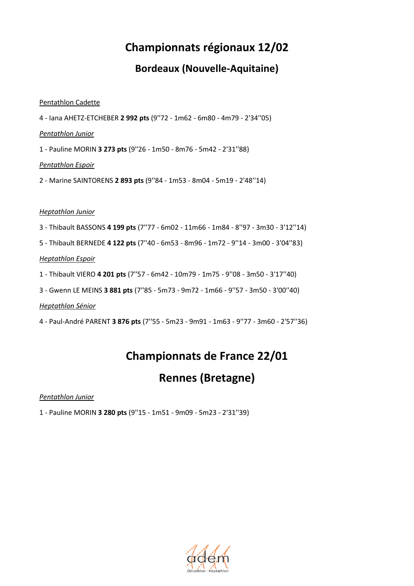# **Championnats régionaux 12/02**

### **Bordeaux (Nouvelle-Aquitaine)**

### Pentathlon Cadette

4 - Iana AHETZ-ETCHEBER **2 992 pts** (9''72 - 1m62 - 6m80 - 4m79 - 2'34''05)

*Pentathlon Junior*

1 - Pauline MORIN **3 273 pts** (9''26 - 1m50 - 8m76 - 5m42 - 2'31''88)

*Pentathlon Espoir* 

2 - Marine SAINTORENS **2 893 pts** (9''84 - 1m53 - 8m04 - 5m19 - 2'48''14)

### *Heptathlon Junior*

- 3 Thibault BASSONS **4 199 pts** (7''77 6m02 11m66 1m84 8''97 3m30 3'12''14)
- 5 Thibault BERNEDE **4 122 pts** (7''40 6m53 8m96 1m72 9''14 3m00 3'04''83)

### *Heptathlon Espoir*

- 1 Thibault VIERO **4 201 pts** (7''57 6m42 10m79 1m75 9''08 3m50 3'17''40)
- 3 Gwenn LE MEINS **3 881 pts** (7''85 5m73 9m72 1m66 9''57 3m50 3'00''40)

*Heptathlon Sénior*

4 - Paul-André PARENT **3 876 pts** (7''55 - 5m23 - 9m91 - 1m63 - 9''77 - 3m60 - 2'57''36)

# **Championnats de France 22/01**

# **Rennes (Bretagne)**

*Pentathlon Junior*

1 - Pauline MORIN **3 280 pts** (9''15 - 1m51 - 9m09 - 5m23 - 2'31''39)

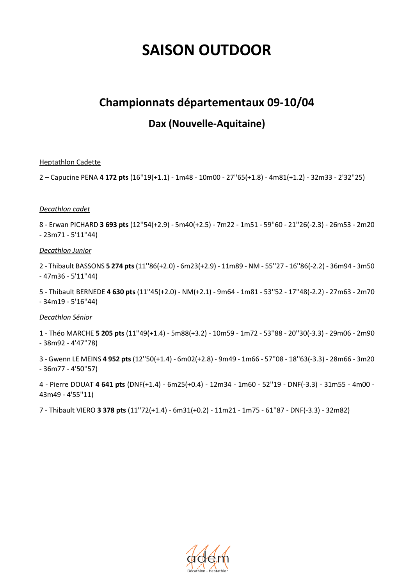# **SAISON OUTDOOR**

### **Championnats départementaux 09-10/04**

### **Dax (Nouvelle-Aquitaine)**

### Heptathlon Cadette

2 – Capucine PENA **4 172 pts** (16''19(+1.1) - 1m48 - 10m00 - 27''65(+1.8) - 4m81(+1.2) - 32m33 - 2'32''25)

#### *Decathlon cadet*

8 - Erwan PICHARD **3 693 pts** (12''54(+2.9) - 5m40(+2.5) - 7m22 - 1m51 - 59''60 - 21''26(-2.3) - 26m53 - 2m20 - 23m71 - 5'11''44)

#### *Decathlon Junior*

2 - Thibault BASSONS **5 274 pts** (11''86(+2.0) - 6m23(+2.9) - 11m89 - NM - 55''27 - 16''86(-2.2) - 36m94 - 3m50 - 47m36 - 5'11''44)

5 - Thibault BERNEDE **4 630 pts** (11''45(+2.0) - NM(+2.1) - 9m64 - 1m81 - 53''52 - 17''48(-2.2) - 27m63 - 2m70 - 34m19 - 5'16''44)

### *Decathlon Sénior*

1 - Théo MARCHE **5 205 pts** (11''49(+1.4) - 5m88(+3.2) - 10m59 - 1m72 - 53''88 - 20''30(-3.3) - 29m06 - 2m90 - 38m92 - 4'47''78)

3 - Gwenn LE MEINS **4 952 pts** (12''50(+1.4) - 6m02(+2.8) - 9m49 - 1m66 - 57''08 - 18''63(-3.3) - 28m66 - 3m20 - 36m77 - 4'50''57)

4 - Pierre DOUAT **4 641 pts** (DNF(+1.4) - 6m25(+0.4) - 12m34 - 1m60 - 52''19 - DNF(-3.3) - 31m55 - 4m00 - 43m49 - 4'55''11)

7 - Thibault VIERO **3 378 pts** (11''72(+1.4) - 6m31(+0.2) - 11m21 - 1m75 - 61''87 - DNF(-3.3) - 32m82)

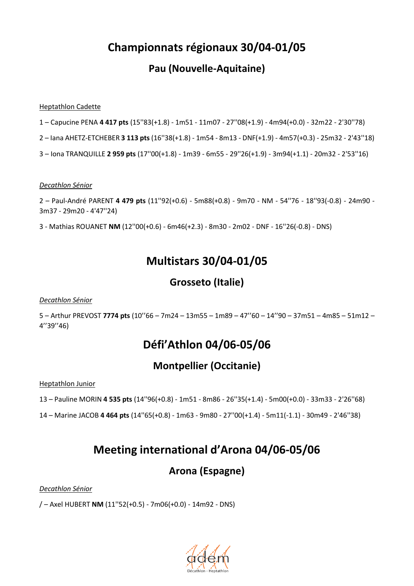# **Championnats régionaux 30/04-01/05**

### **Pau (Nouvelle-Aquitaine)**

### Heptathlon Cadette

- 1 Capucine PENA **4 417 pts** (15''83(+1.8) 1m51 11m07 27''08(+1.9) 4m94(+0.0) 32m22 2'30''78)
- 2 Iana AHETZ-ETCHEBER **3 113 pts** (16''38(+1.8) 1m54 8m13 DNF(+1.9) 4m57(+0.3) 25m32 2'43''18)
- 3 Iona TRANQUILLE **2 959 pts** (17''00(+1.8) 1m39 6m55 29''26(+1.9) 3m94(+1.1) 20m32 2'53''16)

#### *Decathlon Sénior*

2 – Paul-André PARENT **4 479 pts** (11''92(+0.6) - 5m88(+0.8) - 9m70 - NM - 54''76 - 18''93(-0.8) - 24m90 - 3m37 - 29m20 - 4'47''24)

3 - Mathias ROUANET **NM** (12''00(+0.6) - 6m46(+2.3) - 8m30 - 2m02 - DNF - 16''26(-0.8) - DNS)

# **Multistars 30/04-01/05**

### **Grosseto (Italie)**

### *Decathlon Sénior*

5 – Arthur PREVOST **7774 pts** (10''66 – 7m24 – 13m55 – 1m89 – 47''60 – 14''90 – 37m51 – 4m85 – 51m12 – 4''39''46)

# **Défi'Athlon 04/06-05/06**

### **Montpellier (Occitanie)**

Heptathlon Junior

- 13 Pauline MORIN **4 535 pts** (14''96(+0.8) 1m51 8m86 26''35(+1.4) 5m00(+0.0) 33m33 2'26''68)
- 14 Marine JACOB **4 464 pts** (14''65(+0.8) 1m63 9m80 27''00(+1.4) 5m11(-1.1) 30m49 2'46''38)

## **Meeting international d'Arona 04/06-05/06**

### **Arona (Espagne)**

*Decathlon Sénior*

/ – Axel HUBERT **NM** (11''52(+0.5) - 7m06(+0.0) - 14m92 - DNS)